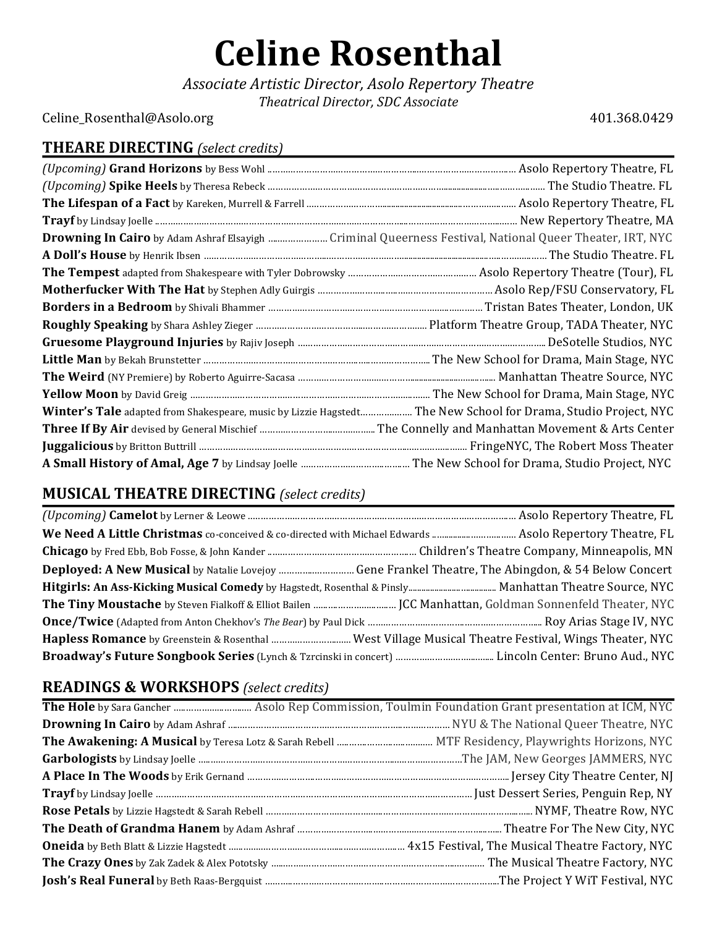# **Celine Rosenthal**

*Associate Artistic Director, Asolo Repertory Theatre Theatrical Director, SDC Associate*

Celine\_Rosenthal@Asolo.org 401.368.0429

#### **THEARE DIRECTING** *(select credits)*

| Drowning In Cairo by Adam Ashraf Elsayigh  Criminal Queerness Festival, National Queer Theater, IRT, NYC       |  |
|----------------------------------------------------------------------------------------------------------------|--|
|                                                                                                                |  |
|                                                                                                                |  |
|                                                                                                                |  |
|                                                                                                                |  |
|                                                                                                                |  |
|                                                                                                                |  |
|                                                                                                                |  |
|                                                                                                                |  |
|                                                                                                                |  |
| Winter's Tale adapted from Shakespeare, music by Lizzie Hagstedt The New School for Drama, Studio Project, NYC |  |
|                                                                                                                |  |
|                                                                                                                |  |
|                                                                                                                |  |

# **MUSICAL THEATRE DIRECTING** *(select credits)*

### **READINGS** & WORKSHOPS (select credits)